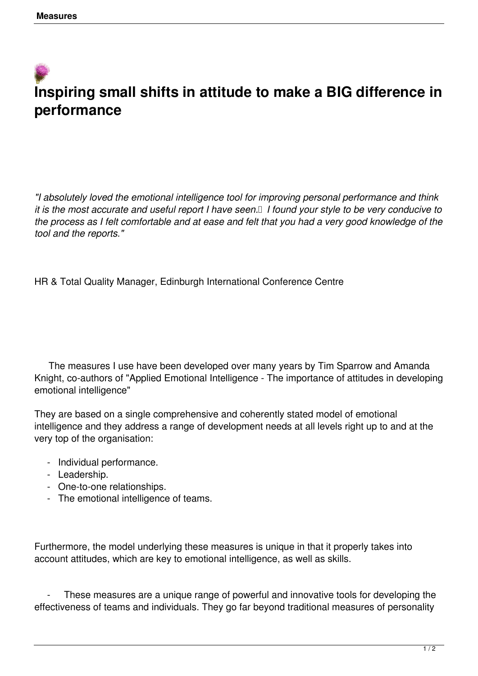## **Inspiring small shifts in attitude to make a BIG difference in performance**

*"I absolutely loved the emotional intelligence tool for improving personal performance and think it is the most accurate and useful report I have seen. I found your style to be very conducive to the process as I felt comfortable and at ease and felt that you had a very good knowledge of the tool and the reports."*

HR & Total Quality Manager, Edinburgh International Conference Centre

 The measures I use have been developed over many years by Tim Sparrow and Amanda Knight, co-authors of "Applied Emotional Intelligence - The importance of attitudes in developing emotional intelligence"

They are based on a single comprehensive and coherently stated model of emotional intelligence and they address a range of development needs at all levels right up to and at the very top of the organisation:

- Individual performance.
- Leadership.
- One-to-one relationships.
- The emotional intelligence of teams.

Furthermore, the model underlying these measures is unique in that it properly takes into account attitudes, which are key to emotional intelligence, as well as skills.

These measures are a unique range of powerful and innovative tools for developing the effectiveness of teams and individuals. They go far beyond traditional measures of personality